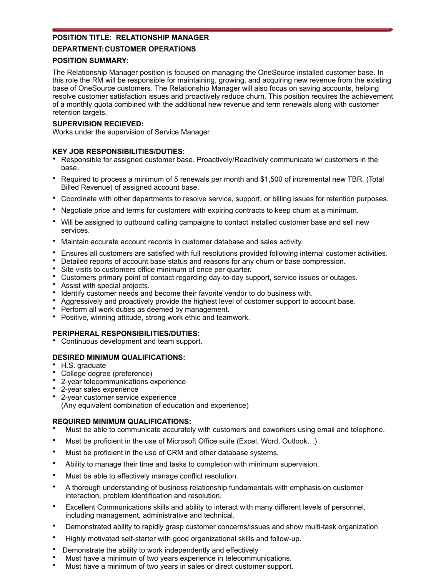# **POSITION TITLE: RELATIONSHIP MANAGER**

# **DEPARTMENT: CUSTOMER OPERATIONS**

## **POSITION SUMMARY:**

The Relationship Manager position is focused on managing the OneSource installed customer base. In this role the RM will be responsible for maintaining, growing, and acquiring new revenue from the existing base of OneSource customers. The Relationship Manager will also focus on saving accounts, helping resolve customer satisfaction issues and proactively reduce churn. This position requires the achievement of a monthly quota combined with the additional new revenue and term renewals along with customer retention targets.

# **SUPERVISION RECIEVED:**

Works under the supervision of Service Manager

# **KEY JOB RESPONSIBILITIES/DUTIES:**

- Responsible for assigned customer base. Proactively/Reactively communicate w/ customers in the base.
- Required to process a minimum of 5 renewals per month and \$1,500 of incremental new TBR. (Total Billed Revenue) of assigned account base.
- Coordinate with other departments to resolve service, support, or billing issues for retention purposes.
- Negotiate price and terms for customers with expiring contracts to keep churn at a minimum.
- Will be assigned to outbound calling campaigns to contact installed customer base and sell new services.
- Maintain accurate account records in customer database and sales activity.
- Ensures all customers are satisfied with full resolutions provided following internal customer activities.
- Detailed reports of account base status and reasons for any churn or base compression.
- Site visits to customers office minimum of once per quarter.
- Customers primary point of contact regarding day-to-day support, service issues or outages.
- Assist with special projects.
- Identify customer needs and become their favorite vendor to do business with.
- Aggressively and proactively provide the highest level of customer support to account base.
- Perform all work duties as deemed by management.
- Positive, winning attitude, strong work ethic and teamwork.

# **PERIPHERAL RESPONSIBILITIES/DUTIES:**

• Continuous development and team support.

# **DESIRED MINIMUM QUALIFICATIONS:**

- H.S. graduate
- College degree (preference)
- 2-year telecommunications experience
- 2-year sales experience
- 2-year customer service experience (Any equivalent combination of education and experience)

### **REQUIRED MINIMUM QUALIFICATIONS:**

- Must be able to communicate accurately with customers and coworkers using email and telephone.
- Must be proficient in the use of Microsoft Office suite (Excel, Word, Outlook…)
- Must be proficient in the use of CRM and other database systems.
- Ability to manage their time and tasks to completion with minimum supervision.
- Must be able to effectively manage conflict resolution.
- A thorough understanding of business relationship fundamentals with emphasis on customer interaction, problem identification and resolution.
- Excellent Communications skills and ability to interact with many different levels of personnel, including management, administrative and technical.
- Demonstrated ability to rapidly grasp customer concerns/issues and show multi-task organization
- Highly motivated self-starter with good organizational skills and follow-up.
- Demonstrate the ability to work independently and effectively
- Must have a minimum of two years experience in telecommunications.
- Must have a minimum of two years in sales or direct customer support.